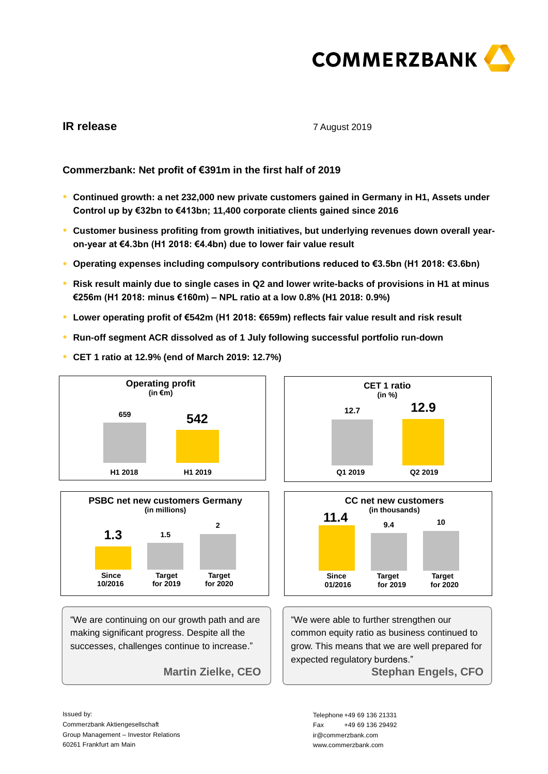

# **IR release**

## 7 August 2019

# **Commerzbank: Net profit of €391m in the first half of 2019**

- **● Continued growth: a net 232,000 new private customers gained in Germany in H1, Assets under Control up by €32bn to €413bn; 11,400 corporate clients gained since 2016**
- **● Customer business profiting from growth initiatives, but underlying revenues down overall yearon-year at €4.3bn (H1 2018: €4.4bn) due to lower fair value result**
- **● Operating expenses including compulsory contributions reduced to €3.5bn (H1 2018: €3.6bn)**
- **● Risk result mainly due to single cases in Q2 and lower write-backs of provisions in H1 at minus €256m (H1 2018: minus €160m) – NPL ratio at a low 0.8% (H1 2018: 0.9%)**
- **● Lower operating profit of €542m (H1 2018: €659m) reflects fair value result and risk result**
- **● Run-off segment ACR dissolved as of 1 July following successful portfolio run-down**
- **● CET 1 ratio at 12.9% (end of March 2019: 12.7%)**





"We are continuing on our growth path and are making significant progress. Despite all the successes, challenges continue to increase."

**Martin Zielke, CEO** 





"We were able to further strengthen our common equity ratio as business continued to grow. This means that we are well prepared for expected regulatory burdens." **Stephan Engels, CFO** 

Issued by: Commerzbank Aktiengesellschaft Group Management – Investor Relations 60261 Frankfurt am Main 60261 Frankfurt am Main and the community of the community of the community of the community of the community of the community of the community of the community of the community of the community of the community of the com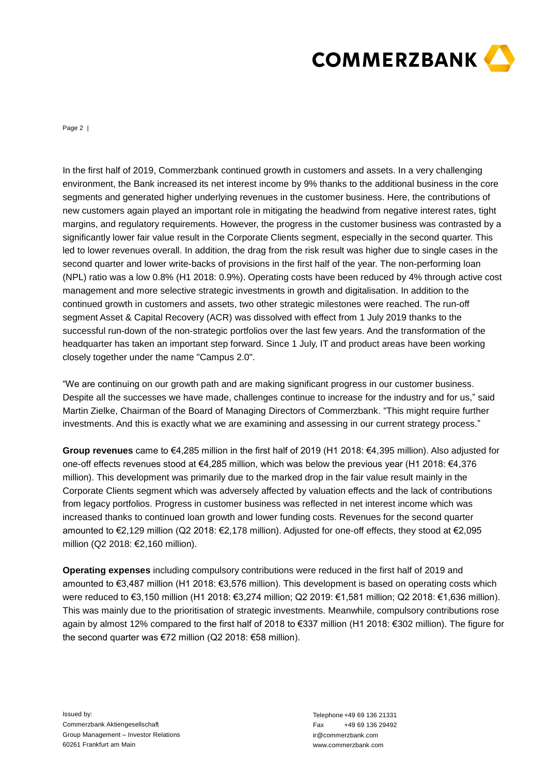

Page 2 |

In the first half of 2019, Commerzbank cominiosed prowhim to ustomers and ussets. In a very challenging the first half of 2019, Commerzbank continued growth in customers and generation and growth in customers and provide environment, the Bank increased its net interest income by 9% thanks to the additional business in the core segments and generated higher underlying revenues in the customer business. Here, the contributions of new customers again played an important role in mitigating the headwind from negative interest rates, tight margins, and regulatory requirements. However, the progress in the customer business was contrasted by a significantly lower fair value result in the Corporate Clients segment, especially in the second quarter. This led to lower revenues overall. In addition, the drag from the risk result was higher due to single cases in the second quarter and lower write-backs of provisions in the first half of the year. The non-performing loan (NPL) ratio was a low 0.8% (H1 2018: 0.9%). Operating costs have been reduced by 4% through active cost management and more selective strategic investments in growth and digitalisation. In addition to the continued growth in customers and assets, two other strategic milestones were reached. The run-off segment Asset & Capital Recovery (ACR) was dissolved with effect from 1 July 2019 thanks to the successful run-down of the non-strategic portfolios over the last few years. And the transformation of the headquarter has taken an important step forward. Since 1 July, IT and product areas have been working closely together under the name "Campus 2.0".

"We are continuing on our growth path and are making significant progress in our customer business. Despite all the successes we have made, challenges continue to increase for the industry and for us," said Martin Zielke, Chairman of the Board of Managing Directors of Commerzbank. "This might require further investments. And this is exactly what we are examining and assessing in our current strategy process."

**Group revenues** came to €4,285 million in the first half of 2019 (H1 2018: €4,395 million). Also adjusted for one-off effects revenues stood at €4,285 million, which was below the previous year (H1 2018: €4,376 million). This development was primarily due to the marked drop in the fair value result mainly in the Corporate Clients segment which was adversely affected by valuation effects and the lack of contributions from legacy portfolios. Progress in customer business was reflected in net interest income which was increased thanks to continued loan growth and lower funding costs. Revenues for the second quarter amounted to €2,129 million (Q2 2018: €2,178 million). Adjusted for one-off effects, they stood at €2,095 million (Q2 2018: €2,160 million).

**Operating expenses** including compulsory contributions were reduced in the first half of 2019 and amounted to €3,487 million (H1 2018: €3,576 million). This development is based on operating costs which were reduced to €3,150 million (H1 2018: €3,274 million; Q2 2019: €1,581 million; Q2 2018: €1,636 million). This was mainly due to the prioritisation of strategic investments. Meanwhile, compulsory contributions rose again by almost 12% compared to the first half of 2018 to €337 million (H1 2018: €302 million). The figure for the second quarter was €72 million (Q2 2018: €58 million).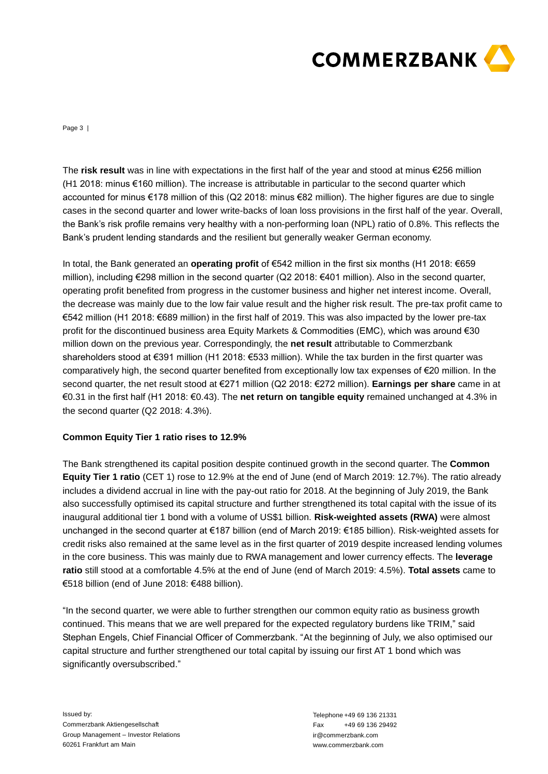

Page 3 |

(H1 2018: minus €160 million). The increase is attributable in particular to the second quarter which accounted for minus €178 million of this (Q2 2018: minus €82 million). The higher figures are due to single cases in the second quarter and lower write-backs of loan loss provisions in the first half of the year. Overall, the Bank's risk profile remains very healthy with a non-performing loan (NPL) ratio of 0.8%. This reflects the Bank's prudent lending standards and the resilient but generally weaker German economy.

The first result was in line with expectations in the first half of the year and stood at minus £256 million the compact of minus model in the second out for the year and stood at infinite the year and stood to similate th In total, the Bank generated an **operating profit** of €542 million in the first six months (H1 2018: €659 million), including €298 million in the second quarter (Q2 2018: €401 million). Also in the second quarter, operating profit benefited from progress in the customer business and higher net interest income. Overall, the decrease was mainly due to the low fair value result and the higher risk result. The pre-tax profit came to €542 million (H1 2018: €689 million) in the first half of 2019. This was also impacted by the lower pre-tax profit for the discontinued business area Equity Markets & Commodities (EMC), which was around €30 million down on the previous year. Correspondingly, the **net result** attributable to Commerzbank shareholders stood at €391 million (H1 2018: €533 million). While the tax burden in the first quarter was comparatively high, the second quarter benefited from exceptionally low tax expenses of €20 million. In the second quarter, the net result stood at €271 million (Q2 2018: €272 million). **Earnings per share** came in at €0.31 in the first half (H1 2018: €0.43). The **net return on tangible equity** remained unchanged at 4.3% in the second quarter (Q2 2018: 4.3%).

## **Common Equity Tier 1 ratio rises to 12.9%**

The Bank strengthened its capital position despite continued growth in the second quarter. The **Common Equity Tier 1 ratio** (CET 1) rose to 12.9% at the end of June (end of March 2019: 12.7%). The ratio already includes a dividend accrual in line with the pay-out ratio for 2018. At the beginning of July 2019, the Bank also successfully optimised its capital structure and further strengthened its total capital with the issue of its inaugural additional tier 1 bond with a volume of US\$1 billion. **Risk-weighted assets (RWA)** were almost unchanged in the second quarter at €187 billion (end of March 2019: €185 billion). Risk-weighted assets for credit risks also remained at the same level as in the first quarter of 2019 despite increased lending volumes in the core business. This was mainly due to RWA management and lower currency effects. The **leverage ratio** still stood at a comfortable 4.5% at the end of June (end of March 2019: 4.5%). **Total assets** came to €518 billion (end of June 2018: €488 billion).

"In the second quarter, we were able to further strengthen our common equity ratio as business growth continued. This means that we are well prepared for the expected regulatory burdens like TRIM," said Stephan Engels, Chief Financial Officer of Commerzbank. "At the beginning of July, we also optimised our capital structure and further strengthened our total capital by issuing our first AT 1 bond which was significantly oversubscribed."

Issued by: Commerzbank Aktiengesellschaft Group Management – Investor Relations 60261 Frankfurt am Main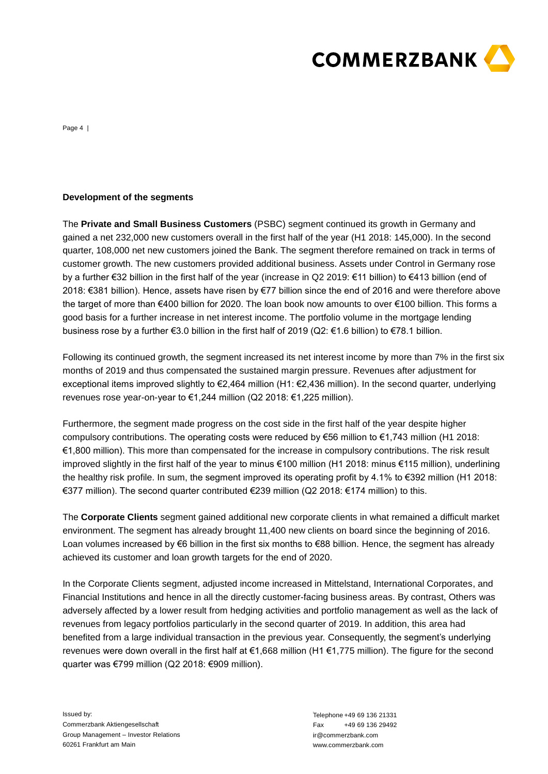

Page 4 |

**Development of the segments**<br>The Private and Small Business Customers (PSBC) segment continued its<br>gained and 232,000 mev customers soverall in the first half of the year (H1 201<br>quarter, 108,000 met new customers pinned The **Private and Small Business Customers** (PSBC) segment continued its growth in Germany and gained a net 232,000 new customers overall in the first half of the year (H1 2018: 145,000). In the second quarter, 108,000 net new customers joined the Bank. The segment therefore remained on track in terms of customer growth. The new customers provided additional business. Assets under Control in Germany rose by a further €32 billion in the first half of the year (increase in Q2 2019: €11 billion) to €413 billion (end of 2018: €381 billion). Hence, assets have risen by €77 billion since the end of 2016 and were therefore above the target of more than €400 billion for 2020. The loan book now amounts to over €100 billion. This forms a good basis for a further increase in net interest income. The portfolio volume in the mortgage lending business rose by a further €3.0 billion in the first half of 2019 (Q2: €1.6 billion) to €78.1 billion.

Following its continued growth, the segment increased its net interest income by more than 7% in the first six months of 2019 and thus compensated the sustained margin pressure. Revenues after adjustment for exceptional items improved slightly to €2,464 million (H1: €2,436 million). In the second quarter, underlying revenues rose year-on-year to €1,244 million (Q2 2018: €1,225 million).

Furthermore, the segment made progress on the cost side in the first half of the year despite higher compulsory contributions. The operating costs were reduced by €56 million to €1,743 million (H1 2018: €1,800 million). This more than compensated for the increase in compulsory contributions. The risk result improved slightly in the first half of the year to minus €100 million (H1 2018: minus €115 million), underlining the healthy risk profile. In sum, the segment improved its operating profit by 4.1% to €392 million (H1 2018: €377 million). The second quarter contributed €239 million (Q2 2018: €174 million) to this.

The **Corporate Clients** segment gained additional new corporate clients in what remained a difficult market environment. The segment has already brought 11,400 new clients on board since the beginning of 2016. Loan volumes increased by €6 billion in the first six months to €88 billion. Hence, the segment has already achieved its customer and loan growth targets for the end of 2020.

In the Corporate Clients segment, adjusted income increased in Mittelstand, International Corporates, and Financial Institutions and hence in all the directly customer-facing business areas. By contrast, Others was adversely affected by a lower result from hedging activities and portfolio management as well as the lack of revenues from legacy portfolios particularly in the second quarter of 2019. In addition, this area had benefited from a large individual transaction in the previous year. Consequently, the segment's underlying revenues were down overall in the first half at €1,668 million (H1 €1,775 million). The figure for the second quarter was €799 million (Q2 2018: €909 million).

Issued by: Commerzbank Aktiengesellschaft Group Management – Investor Relations 60261 Frankfurt am Main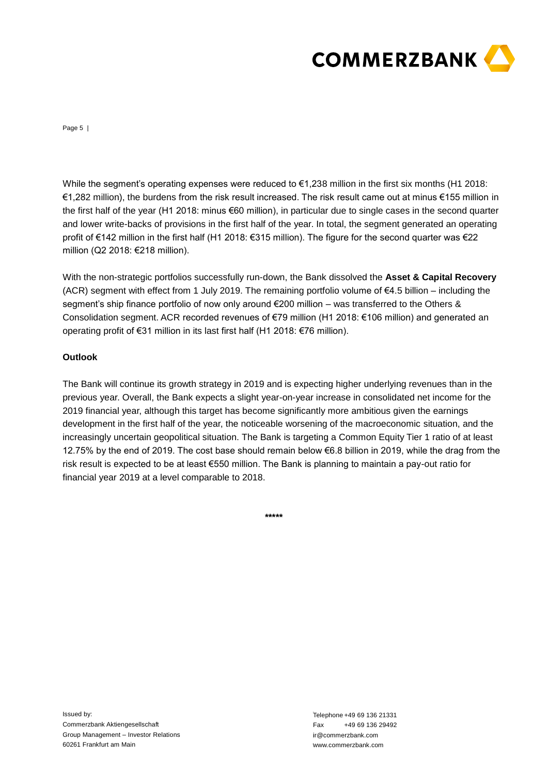

Page 5 |

€1,282 million), the burdens from the risk result increased. The risk result came out at minus €155 million in the first half of the year (H1 2018: minus €60 million), in particular due to single cases in the second quarter and lower write-backs of provisions in the first half of the year. In total, the segment generated an operating profit of €142 million in the first half (H1 2018: €315 million). The figure for the second quarter was €22 million (Q2 2018: €218 million).

With the non-strategic portfolios successfully run-down, the Bank dissolved the **Asset & Capital Recovery** (ACR) segment with effect from 1 July 2019. The remaining portfolio volume of  $\epsilon$ 4.5 billion – including the segment's ship finance portfolio of now only around €200 million – was transferred to the Others & Consolidation segment. ACR recorded revenues of €79 million (H1 2018: €106 million) and generated an operating profit of €31 million in its last first half (H1 2018: €76 million).

# **Outlook**

While the segment's spectral operating expenses were reduced to f1,238 million in the first is months (H1 2018:<br>T1.22 amillion), the burdens from the risk result increased. The risk result increased in the segment perceiva The Bank will continue its growth strategy in 2019 and is expecting higher underlying revenues than in the previous year. Overall, the Bank expects a slight year-on-year increase in consolidated net income for the 2019 financial year, although this target has become significantly more ambitious given the earnings development in the first half of the year, the noticeable worsening of the macroeconomic situation, and the increasingly uncertain geopolitical situation. The Bank is targeting a Common Equity Tier 1 ratio of at least 12.75% by the end of 2019. The cost base should remain below €6.8 billion in 2019, while the drag from the risk result is expected to be at least €550 million. The Bank is planning to maintain a pay-out ratio for financial year 2019 at a level comparable to 2018.

**\*\*\*\*\***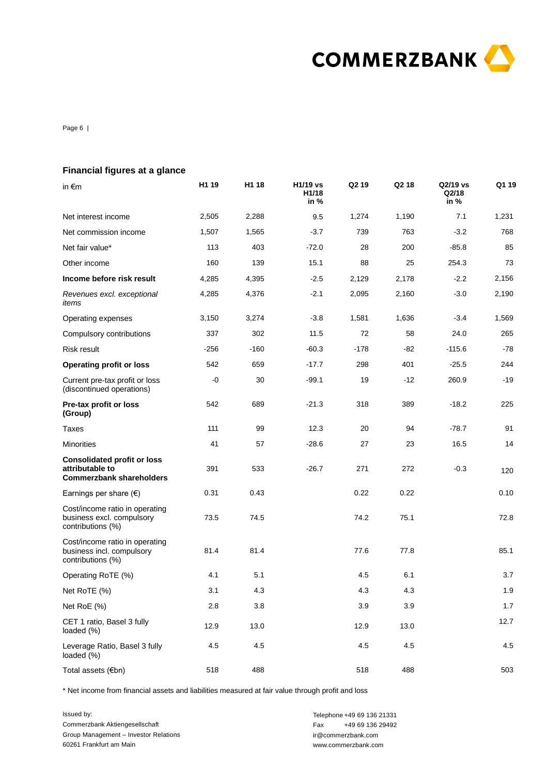

Page 6 |

| <b>Financial figures at a glance</b>                                                                             |                   |        |                           |                                                                                             |       |                           |       |
|------------------------------------------------------------------------------------------------------------------|-------------------|--------|---------------------------|---------------------------------------------------------------------------------------------|-------|---------------------------|-------|
| in €m                                                                                                            | H <sub>1</sub> 19 | H1 18  | H1/19 vs<br>H1/18<br>in % | Q <sub>2</sub> 19                                                                           | Q2 18 | Q2/19 vs<br>Q2/18<br>in % | Q1 19 |
| Net interest income                                                                                              | 2,505             | 2,288  | 9.5                       | 1,274                                                                                       | 1,190 | 7.1                       | 1,231 |
| Net commission income                                                                                            | 1,507             | 1,565  | $-3.7$                    | 739                                                                                         | 763   | $-3.2$                    | 768   |
| Net fair value*                                                                                                  | 113               | 403    | $-72.0$                   | 28                                                                                          | 200   | $-85.8$                   | 85    |
| Other income                                                                                                     | 160               | 139    | 15.1                      | 88                                                                                          | 25    | 254.3                     | 73    |
| Income before risk result                                                                                        | 4,285             | 4,395  | $-2.5$                    | 2,129                                                                                       | 2,178 | $-2.2$                    | 2,156 |
| Revenues excl. exceptional<br>items                                                                              | 4,285             | 4,376  | $-2.1$                    | 2,095                                                                                       | 2,160 | $-3.0$                    | 2,190 |
| Operating expenses                                                                                               | 3,150             | 3,274  | $-3.8$                    | 1,581                                                                                       | 1,636 | $-3.4$                    | 1,569 |
| Compulsory contributions                                                                                         | 337               | 302    | 11.5                      | 72                                                                                          | 58    | 24.0                      | 265   |
| Risk result                                                                                                      | $-256$            | $-160$ | $-60.3$                   | $-178$                                                                                      | -82   | $-115.6$                  | $-78$ |
| <b>Operating profit or loss</b>                                                                                  | 542               | 659    | $-17.7$                   | 298                                                                                         | 401   | $-25.5$                   | 244   |
| Current pre-tax profit or loss<br>(discontinued operations)                                                      | -0                | 30     | $-99.1$                   | 19                                                                                          | $-12$ | 260.9                     | $-19$ |
| Pre-tax profit or loss<br>(Group)                                                                                | 542               | 689    | $-21.3$                   | 318                                                                                         | 389   | $-18.2$                   | 225   |
| Taxes                                                                                                            | 111               | 99     | 12.3                      | 20                                                                                          | 94    | $-78.7$                   | 91    |
| <b>Minorities</b>                                                                                                | 41                | 57     | $-28.6$                   | 27                                                                                          | 23    | 16.5                      | 14    |
| <b>Consolidated profit or loss</b><br>attributable to<br><b>Commerzbank shareholders</b>                         | 391               | 533    | $-26.7$                   | 271                                                                                         | 272   | $-0.3$                    | 120   |
| Earnings per share $(\epsilon)$                                                                                  | 0.31              | 0.43   |                           | 0.22                                                                                        | 0.22  |                           | 0.10  |
| Cost/income ratio in operating<br>business excl. compulsory<br>contributions (%)                                 | 73.5              | 74.5   |                           | 74.2                                                                                        | 75.1  |                           | 72.8  |
| Cost/income ratio in operating<br>business incl. compulsory<br>contributions (%)                                 | 81.4              | 81.4   |                           | 77.6                                                                                        | 77.8  |                           | 85.1  |
| Operating RoTE (%)                                                                                               | 4.1               | 5.1    |                           | 4.5                                                                                         | 6.1   |                           | 3.7   |
| Net RoTE (%)                                                                                                     | 3.1               | 4.3    |                           | 4.3                                                                                         | 4.3   |                           | 1.9   |
| Net RoE (%)                                                                                                      | 2.8               | 3.8    |                           | 3.9                                                                                         | 3.9   |                           | 1.7   |
| CET 1 ratio, Basel 3 fully<br>loaded (%)                                                                         | 12.9              | 13.0   |                           | 12.9                                                                                        | 13.0  |                           | 12.7  |
| Leverage Ratio, Basel 3 fully<br>loaded $(\%)$                                                                   | 4.5               | 4.5    |                           | 4.5                                                                                         | 4.5   |                           | 4.5   |
| Total assets (€bn)                                                                                               | 518               | 488    |                           | 518                                                                                         | 488   |                           | 503   |
| * Net income from financial assets and liabilities measured at fair value through profit and loss                |                   |        |                           |                                                                                             |       |                           |       |
| Issued by:<br>Commerzbank Aktiengesellschaft<br>Group Management - Investor Relations<br>60261 Frankfurt am Main |                   |        | Fax                       | Telephone +49 69 136 21331<br>+49 69 136 29492<br>ir@commerzbank.com<br>www.commerzbank.com |       |                           |       |